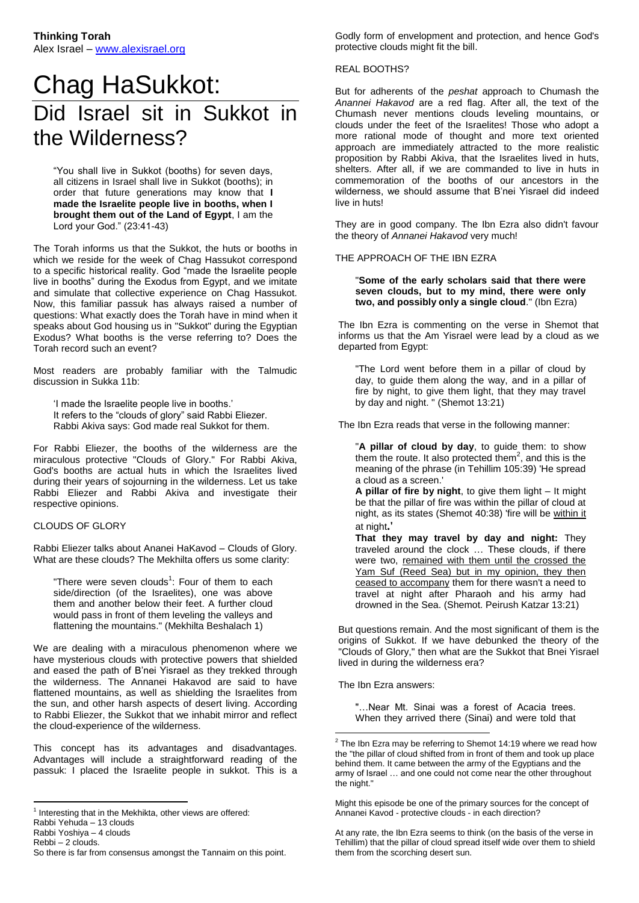# Chag HaSukkot: Did Israel sit in Sukkot in the Wilderness?

"You shall live in Sukkot (booths) for seven days, all citizens in Israel shall live in Sukkot (booths); in order that future generations may know that **I made the Israelite people live in booths, when I brought them out of the Land of Egypt**, I am the Lord your God." (23:41-43)

The Torah informs us that the Sukkot, the huts or booths in which we reside for the week of Chag Hassukot correspond to a specific historical reality. God "made the Israelite people live in booths" during the Exodus from Egypt, and we imitate and simulate that collective experience on Chag Hassukot. Now, this familiar passuk has always raised a number of questions: What exactly does the Torah have in mind when it speaks about God housing us in "Sukkot" during the Egyptian Exodus? What booths is the verse referring to? Does the Torah record such an event?

Most readers are probably familiar with the Talmudic discussion in Sukka 11b:

'I made the Israelite people live in booths.' It refers to the "clouds of glory" said Rabbi Eliezer. Rabbi Akiva says: God made real Sukkot for them.

For Rabbi Eliezer, the booths of the wilderness are the miraculous protective "Clouds of Glory." For Rabbi Akiva, God's booths are actual huts in which the Israelites lived during their years of sojourning in the wilderness. Let us take Rabbi Eliezer and Rabbi Akiva and investigate their respective opinions.

# CLOUDS OF GLORY

Rabbi Eliezer talks about Ananei HaKavod – Clouds of Glory. What are these clouds? The Mekhilta offers us some clarity:

"There were seven clouds<sup>1</sup>: Four of them to each side/direction (of the Israelites), one was above them and another below their feet. A further cloud would pass in front of them leveling the valleys and flattening the mountains." (Mekhilta Beshalach 1)

We are dealing with a miraculous phenomenon where we have mysterious clouds with protective powers that shielded and eased the path of B'nei Yisrael as they trekked through the wilderness. The Annanei Hakavod are said to have flattened mountains, as well as shielding the Israelites from the sun, and other harsh aspects of desert living. According to Rabbi Eliezer, the Sukkot that we inhabit mirror and reflect the cloud-experience of the wilderness.

This concept has its advantages and disadvantages. Advantages will include a straightforward reading of the passuk: I placed the Israelite people in sukkot. This is a

Rabbi Yoshiya – 4 clouds Rebbi – 2 clouds.

 $\overline{a}$ 

Godly form of envelopment and protection, and hence God's protective clouds might fit the bill.

#### REAL BOOTHS?

But for adherents of the *peshat* approach to Chumash the *Anannei Hakavod* are a red flag. After all, the text of the Chumash never mentions clouds leveling mountains, or clouds under the feet of the Israelites! Those who adopt a more rational mode of thought and more text oriented approach are immediately attracted to the more realistic proposition by Rabbi Akiva, that the Israelites lived in huts, shelters. After all, if we are commanded to live in huts in commemoration of the booths of our ancestors in the wilderness, we should assume that B'nei Yisrael did indeed live in huts!

They are in good company. The Ibn Ezra also didn't favour the theory of *Annanei Hakavod* very much!

### THE APPROACH OF THE IBN EZRA

"**Some of the early scholars said that there were seven clouds, but to my mind, there were only two, and possibly only a single cloud**." (Ibn Ezra)

The Ibn Ezra is commenting on the verse in Shemot that informs us that the Am Yisrael were lead by a cloud as we departed from Egypt:

"The Lord went before them in a pillar of cloud by day, to guide them along the way, and in a pillar of fire by night, to give them light, that they may travel by day and night. " (Shemot 13:21)

The Ibn Ezra reads that verse in the following manner:

"**A pillar of cloud by day**, to guide them: to show them the route. It also protected them<sup>2</sup>, and this is the meaning of the phrase (in Tehillim 105:39) 'He spread a cloud as a screen.'

**A pillar of fire by night**, to give them light – It might be that the pillar of fire was within the pillar of cloud at night, as its states (Shemot 40:38) 'fire will be within it at night**.'**

**That they may travel by day and night:** They traveled around the clock … These clouds, if there were two, remained with them until the crossed the Yam Suf (Reed Sea) but in my opinion, they then ceased to accompany them for there wasn't a need to travel at night after Pharaoh and his army had drowned in the Sea. (Shemot. Peirush Katzar 13:21)

But questions remain. And the most significant of them is the origins of Sukkot. If we have debunked the theory of the "Clouds of Glory," then what are the Sukkot that Bnei Yisrael lived in during the wilderness era?

The Ibn Ezra answers:

 $\overline{a}$ 

"…Near Mt. Sinai was a forest of Acacia trees. When they arrived there (Sinai) and were told that

 $1$  Interesting that in the Mekhikta, other views are offered:

Rabbi Yehuda – 13 clouds

So there is far from consensus amongst the Tannaim on this point.

 $2$  The Ibn Ezra may be referring to Shemot 14:19 where we read how the "the pillar of cloud shifted from in front of them and took up place behind them. It came between the army of the Egyptians and the army of Israel … and one could not come near the other throughout the night."

Might this episode be one of the primary sources for the concept of Annanei Kavod - protective clouds - in each direction?

At any rate, the Ibn Ezra seems to think (on the basis of the verse in Tehillim) that the pillar of cloud spread itself wide over them to shield them from the scorching desert sun.